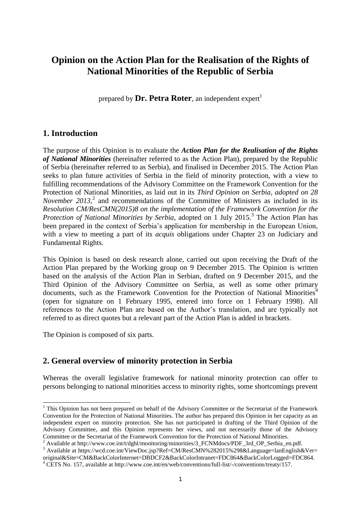# **Opinion on the Action Plan for the Realisation of the Rights of National Minorities of the Republic of Serbia**

prepared by  $\text{Dr. Petra Roter}$ , an independent expert<sup>1</sup>

### **1. Introduction**

The purpose of this Opinion is to evaluate the *Action Plan for the Realisation of the Rights of National Minorities* (hereinafter referred to as the Action Plan), prepared by the Republic of Serbia (hereinafter referred to as Serbia), and finalised in December 2015. The Action Plan seeks to plan future activities of Serbia in the field of minority protection, with a view to fulfilling recommendations of the Advisory Committee on the Framework Convention for the Protection of National Minorities, as laid out in its *Third Opinion on Serbia, adopted on 28 November 2013*<sup>2</sup>, and recommendations of the Committee of Ministers as included in its *Resolution CM/ResCMN(2015)8 on the implementation of the Framework Convention for the*  Protection of National Minorities by Serbia, adopted on 1 July 2015.<sup>3</sup> The Action Plan has been prepared in the context of Serbia's application for membership in the European Union, with a view to meeting a part of its *acquis* obligations under Chapter 23 on Judiciary and Fundamental Rights.

This Opinion is based on desk research alone, carried out upon receiving the Draft of the Action Plan prepared by the Working group on 9 December 2015. The Opinion is written based on the analysis of the Action Plan in Serbian, drafted on 9 December 2015, and the Third Opinion of the Advisory Committee on Serbia, as well as some other primary documents, such as the Framework Convention for the Protection of National Minorities<sup>4</sup> (open for signature on 1 February 1995, entered into force on 1 February 1998). All references to the Action Plan are based on the Author's translation, and are typically not referred to as direct quotes but a relevant part of the Action Plan is added in brackets.

The Opinion is composed of six parts.

1

# **2. General overview of minority protection in Serbia**

Whereas the overall legislative framework for national minority protection can offer to persons belonging to national minorities access to minority rights, some shortcomings prevent

 $1$  This Opinion has not been prepared on behalf of the Advisory Committee or the Secretariat of the Framework Convention for the Protection of National Minorities. The author has prepared this Opinion in her capacity as an independent expert on minority protection. She has not participated in drafting of the Third Opinion of the Advisory Committee, and this Opinion represents her views, and not necessarily those of the Advisory Committee or the Secretariat of the Framework Convention for the Protection of National Minorities.

<sup>2</sup> Available at http://www.coe.int/t/dghl/monitoring/minorities/3\_FCNMdocs/PDF\_3rd\_OP\_Serbia\_en.pdf.

<sup>&</sup>lt;sup>3</sup> Available at https://wcd.coe.int/ViewDoc.jsp?Ref=CM/ResCMN%282015%298&Language=lanEnglish&Ver= original&Site=CM&BackColorInternet=DBDCF2&BackColorIntranet=FDC864&BackColorLogged=FDC864.

<sup>4</sup> CETS No. 157, available at http://www.coe.int/en/web/conventions/full-list/-/conventions/treaty/157.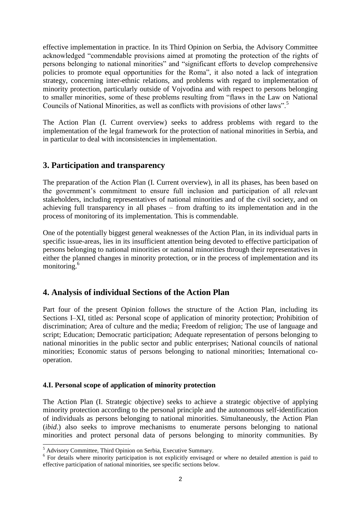effective implementation in practice. In its Third Opinion on Serbia, the Advisory Committee acknowledged "commendable provisions aimed at promoting the protection of the rights of persons belonging to national minorities" and "significant efforts to develop comprehensive policies to promote equal opportunities for the Roma", it also noted a lack of integration strategy, concerning inter-ethnic relations, and problems with regard to implementation of minority protection, particularly outside of Vojvodina and with respect to persons belonging to smaller minorities, some of these problems resulting from "flaws in the Law on National Councils of National Minorities, as well as conflicts with provisions of other laws".<sup>5</sup>

The Action Plan (I. Current overview) seeks to address problems with regard to the implementation of the legal framework for the protection of national minorities in Serbia, and in particular to deal with inconsistencies in implementation.

### **3. Participation and transparency**

The preparation of the Action Plan (I. Current overview), in all its phases, has been based on the government's commitment to ensure full inclusion and participation of all relevant stakeholders, including representatives of national minorities and of the civil society, and on achieving full transparency in all phases – from drafting to its implementation and in the process of monitoring of its implementation. This is commendable.

One of the potentially biggest general weaknesses of the Action Plan, in its individual parts in specific issue-areas, lies in its insufficient attention being devoted to effective participation of persons belonging to national minorities or national minorities through their representatives in either the planned changes in minority protection, or in the process of implementation and its monitoring.<sup>6</sup>

# **4. Analysis of individual Sections of the Action Plan**

Part four of the present Opinion follows the structure of the Action Plan, including its Sections I–XI, titled as: Personal scope of application of minority protection; Prohibition of discrimination; Area of culture and the media; Freedom of religion; The use of language and script; Education; Democratic participation; Adequate representation of persons belonging to national minorities in the public sector and public enterprises; National councils of national minorities; Economic status of persons belonging to national minorities; International cooperation.

#### **4.I. Personal scope of application of minority protection**

The Action Plan (I. Strategic objective) seeks to achieve a strategic objective of applying minority protection according to the personal principle and the autonomous self-identification of individuals as persons belonging to national minorities. Simultaneously, the Action Plan (*ibid*.) also seeks to improve mechanisms to enumerate persons belonging to national minorities and protect personal data of persons belonging to minority communities. By

<sup>&</sup>lt;sup>5</sup> Advisory Committee, Third Opinion on Serbia, Executive Summary.

<sup>&</sup>lt;sup>6</sup> For details where minority participation is not explicitly envisaged or where no detailed attention is paid to effective participation of national minorities, see specific sections below.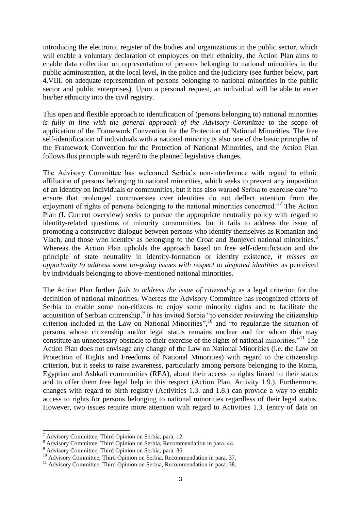introducing the electronic register of the bodies and organizations in the public sector, which will enable a voluntary declaration of employees on their ethnicity, the Action Plan aims to enable data collection on representation of persons belonging to national minorities in the public administration, at the local level, in the police and the judiciary (see further below, part 4.VIII. on adequate representation of persons belonging to national minorities in the public sector and public enterprises). Upon a personal request, an individual will be able to enter his/her ethnicity into the civil registry.

This open and flexible approach to identification of (persons belonging to) national minorities *is fully in line with the general approach of the Advisory Committee* to the scope of application of the Framework Convention for the Protection of National Minorities. The free self-identification of individuals with a national minority is also one of the basic principles of the Framework Convention for the Protection of National Minorities, and the Action Plan follows this principle with regard to the planned legislative changes.

The Advisory Committee has welcomed Serbia's non-interference with regard to ethnic affiliation of persons belonging to national minorities, which seeks to prevent any imposition of an identity on individuals or communities, but it has also warned Serbia to exercise care "to ensure that prolonged controversies over identities do not deflect attention from the enjoyment of rights of persons belonging to the national minorities concerned."<sup>7</sup> The Action Plan (I. Current overview) seeks to pursue the appropriate neutrality policy with regard to identity-related questions of minority communities, but it fails to address the issue of promoting a constructive dialogue between persons who identify themselves as Romanian and Vlach, and those who identify as belonging to the Croat and Bunjevci national minorities.<sup>8</sup> Whereas the Action Plan upholds the approach based on free self-identification and the principle of state neutrality in identity-formation or identity existence, *it misses an opportunity to address some on-going issues with respect to disputed identities* as perceived by individuals belonging to above-mentioned national minorities.

The Action Plan further *fails to address the issue of citizenship* as a legal criterion for the definition of national minorities. Whereas the Advisory Committee has recognized efforts of Serbia to enable some non-citizens to enjoy some minority rights and to facilitate the acquisition of Serbian citizenship,  $9$  it has invited Serbia "to consider reviewing the citizenship criterion included in the Law on National Minorities",<sup>10</sup> and "to regularize the situation of persons whose citizenship and/or legal status remains unclear and for whom this may constitute an unnecessary obstacle to their exercise of the rights of national minorities."<sup>11</sup> The Action Plan does not envisage any change of the Law on National Minorities (i.e. the Law on Protection of Rights and Freedoms of National Minorities) with regard to the citizenship criterion, but it seeks to raise awareness, particularly among persons belonging to the Roma, Egyptian and Ashkali communities (REA), about their access to rights linked to their status and to offer them free legal help in this respect (Action Plan, Activity 1.9.). Furthermore, changes with regard to birth registry (Activities 1.3. and 1.8.) can provide a way to enable access to rights for persons belonging to national minorities regardless of their legal status. However, two issues require more attention with regard to Activities 1.3. (entry of data on

 $^7$  Advisory Committee, Third Opinion on Serbia, para. 12.

<sup>&</sup>lt;sup>8</sup> Advisory Committee, Third Opinion on Serbia, Recommendation in para. 44.

<sup>&</sup>lt;sup>9</sup> Advisory Committee, Third Opinion on Serbia, para. 36.

<sup>&</sup>lt;sup>10</sup> Advisory Committee, Third Opinion on Serbia, Recommendation in para. 37.

<sup>&</sup>lt;sup>11</sup> Advisory Committee, Third Opinion on Serbia, Recommendation in para. 38.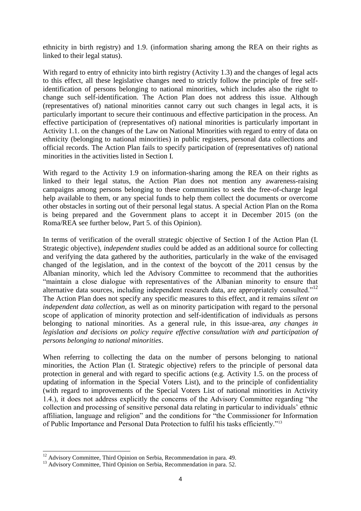ethnicity in birth registry) and 1.9. (information sharing among the REA on their rights as linked to their legal status).

With regard to entry of ethnicity into birth registry (Activity 1.3) and the changes of legal acts to this effect, all these legislative changes need to strictly follow the principle of free selfidentification of persons belonging to national minorities, which includes also the right to change such self-identification. The Action Plan does not address this issue. Although (representatives of) national minorities cannot carry out such changes in legal acts, it is particularly important to secure their continuous and effective participation in the process. An effective participation of (representatives of) national minorities is particularly important in Activity 1.1. on the changes of the Law on National Minorities with regard to entry of data on ethnicity (belonging to national minorities) in public registers, personal data collections and official records. The Action Plan fails to specify participation of (representatives of) national minorities in the activities listed in Section I.

With regard to the Activity 1.9 on information-sharing among the REA on their rights as linked to their legal status, the Action Plan does not mention any awareness-raising campaigns among persons belonging to these communities to seek the free-of-charge legal help available to them, or any special funds to help them collect the documents or overcome other obstacles in sorting out of their personal legal status. A special Action Plan on the Roma is being prepared and the Government plans to accept it in December 2015 (on the Roma/REA see further below, Part 5. of this Opinion).

In terms of verification of the overall strategic objective of Section I of the Action Plan (I. Strategic objective), *independent studies* could be added as an additional source for collecting and verifying the data gathered by the authorities, particularly in the wake of the envisaged changed of the legislation, and in the context of the boycott of the 2011 census by the Albanian minority, which led the Advisory Committee to recommend that the authorities "maintain a close dialogue with representatives of the Albanian minority to ensure that alternative data sources, including independent research data, are appropriately consulted."<sup>12</sup> The Action Plan does not specify any specific measures to this effect, and it remains *silent on independent data collection*, as well as on minority participation with regard to the personal scope of application of minority protection and self-identification of individuals as persons belonging to national minorities. As a general rule, in this issue-area, *any changes in legislation and decisions on policy require effective consultation with and participation of persons belonging to national minorities*.

When referring to collecting the data on the number of persons belonging to national minorities, the Action Plan (I. Strategic objective) refers to the principle of personal data protection in general and with regard to specific actions (e.g. Activity 1.5. on the process of updating of information in the Special Voters List), and to the principle of confidentiality (with regard to improvements of the Special Voters List of national minorities in Activity 1.4.), it does not address explicitly the concerns of the Advisory Committee regarding "the collection and processing of sensitive personal data relating in particular to individuals' ethnic affiliation, language and religion" and the conditions for "the Commissioner for Information of Public Importance and Personal Data Protection to fulfil his tasks efficiently."<sup>13</sup>

<sup>-</sup> $12$  Advisory Committee, Third Opinion on Serbia, Recommendation in para. 49.

<sup>&</sup>lt;sup>13</sup> Advisory Committee, Third Opinion on Serbia, Recommendation in para. 52.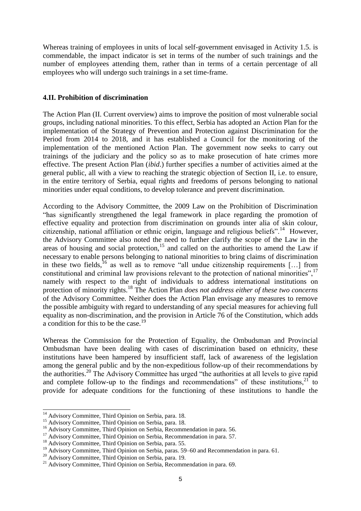Whereas training of employees in units of local self-government envisaged in Activity 1.5. is commendable, the impact indicator is set in terms of the number of such trainings and the number of employees attending them, rather than in terms of a certain percentage of all employees who will undergo such trainings in a set time-frame.

#### **4.II. Prohibition of discrimination**

The Action Plan (II. Current overview) aims to improve the position of most vulnerable social groups, including national minorities. To this effect, Serbia has adopted an Action Plan for the implementation of the Strategy of Prevention and Protection against Discrimination for the Period from 2014 to 2018, and it has established a Council for the monitoring of the implementation of the mentioned Action Plan. The government now seeks to carry out trainings of the judiciary and the policy so as to make prosecution of hate crimes more effective. The present Action Plan (*ibid*.) further specifies a number of activities aimed at the general public, all with a view to reaching the strategic objection of Section II, i.e. to ensure, in the entire territory of Serbia, equal rights and freedoms of persons belonging to national minorities under equal conditions, to develop tolerance and prevent discrimination.

According to the Advisory Committee, the 2009 Law on the Prohibition of Discrimination "has significantly strengthened the legal framework in place regarding the promotion of effective equality and protection from discrimination on grounds inter alia of skin colour, citizenship, national affiliation or ethnic origin, language and religious beliefs".<sup>14</sup> However, the Advisory Committee also noted the need to further clarify the scope of the Law in the areas of housing and social protection, $15$  and called on the authorities to amend the Law if necessary to enable persons belonging to national minorities to bring claims of discrimination in these two fields, <sup>16</sup> as well as to remove "all undue citizenship requirements  $[\dots]$  from constitutional and criminal law provisions relevant to the protection of national minorities",  $17$ namely with respect to the right of individuals to address international institutions on protection of minority rights.<sup>18</sup> The Action Plan *does not address either of these two concerns* of the Advisory Committee. Neither does the Action Plan envisage any measures to remove the possible ambiguity with regard to understanding of any special measures for achieving full equality as non-discrimination, and the provision in Article 76 of the Constitution, which adds a condition for this to be the case.<sup>19</sup>

Whereas the Commission for the Protection of Equality, the Ombudsman and Provincial Ombudsman have been dealing with cases of discrimination based on ethnicity, these institutions have been hampered by insufficient staff, lack of awareness of the legislation among the general public and by the non-expeditious follow-up of their recommendations by the authorities.<sup>20</sup> The Advisory Committee has urged "the authorities at all levels to give rapid and complete follow-up to the findings and recommendations" of these institutions, $21$  to provide for adequate conditions for the functioning of these institutions to handle the

<sup>&</sup>lt;sup>14</sup> Advisory Committee, Third Opinion on Serbia, para. 18.

<sup>&</sup>lt;sup>15</sup> Advisory Committee, Third Opinion on Serbia, para. 18.

<sup>&</sup>lt;sup>16</sup> Advisory Committee, Third Opinion on Serbia, Recommendation in para. 56.

<sup>&</sup>lt;sup>17</sup> Advisory Committee, Third Opinion on Serbia, Recommendation in para. 57.

<sup>&</sup>lt;sup>18</sup> Advisory Committee, Third Opinion on Serbia, para. 55.

<sup>&</sup>lt;sup>19</sup> Advisory Committee, Third Opinion on Serbia, paras. 59–60 and Recommendation in para. 61.

<sup>20</sup> Advisory Committee, Third Opinion on Serbia, para. 19.

<sup>&</sup>lt;sup>21</sup> Advisory Committee, Third Opinion on Serbia, Recommendation in para. 69.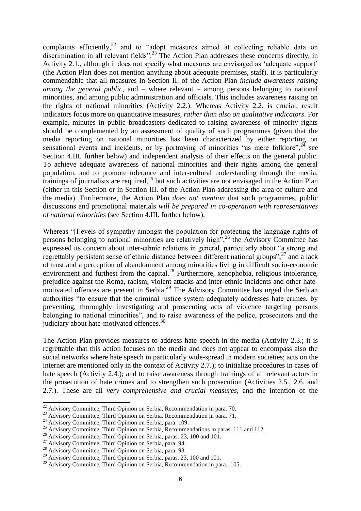complaints efficiently, $^{22}$  and to "adopt measures aimed at collecting reliable data on discrimination in all relevant fields".<sup>23</sup> The Action Plan addresses these concerns directly, in Activity 2.1., although it does not specify what measures are envisaged as 'adequate support' (the Action Plan does not mention anything about adequate premises, staff). It is particularly commendable that all measures in Section II. of the Action Plan *include awareness raising among the general public*, and – where relevant – among persons belonging to national minorities, and among public administration and officials. This includes awareness raising on the rights of national minorities (Activity 2.2.). Whereas Activity 2.2. is crucial, result indicators focus more on quantitative measures, *rather than also on qualitative indicators*. For example, minutes in public broadcasters dedicated to raising awareness of minority rights should be complemented by an assessment of quality of such programmes (given that the media reporting on national minorities has been characterized by either reporting on sensational events and incidents, or by portraying of minorities "as mere folklore",  $^{24}$  see Section 4.III. further below) and independent analysis of their effects on the general public. To achieve adequate awareness of national minorities and their rights among the general population, and to promote tolerance and inter-cultural understanding through the media, trainings of journalists are required,  $^{25}$  but such activities are not envisaged in the Action Plan (either in this Section or in Section III. of the Action Plan addressing the area of culture and the media). Furthermore, the Action Plan *does not mention* that such programmes, public discussions and promotional materials *will be prepared in co-operation with representatives of national minorities* (see Section 4.III. further below).

Whereas "[l]evels of sympathy amongst the population for protecting the language rights of persons belonging to national minorities are relatively high",<sup>26</sup> the Advisory Committee has expressed its concern about inter-ethnic relations in general, particularly about "a strong and regrettably persistent sense of ethnic distance between different national groups",<sup>27</sup> and a lack of trust and a perception of abandonment among minorities living in difficult socio-economic environment and furthest from the capital. $^{28}$  Furthermore, xenophobia, religious intolerance, prejudice against the Roma, racism, violent attacks and inter-ethnic incidents and other hatemotivated offences are present in Serbia.<sup>29</sup> The Advisory Committee has urged the Serbian authorities "to ensure that the criminal justice system adequately addresses hate crimes, by preventing, thoroughly investigating and prosecuting acts of violence targeting persons belonging to national minorities", and to raise awareness of the police, prosecutors and the judiciary about hate-motivated offences.<sup>30</sup>

The Action Plan provides measures to address hate speech in the media (Activity 2.3.; it is regrettable that this action focuses on the media and does not appear to encompass also the social networks where hate speech in particularly wide-spread in modern societies; acts on the internet are mentioned only in the context of Activity 2.7.); to initialize procedures in cases of hate speech (Activity 2.4.); and to raise awareness through trainings of all relevant actors in the prosecution of hate crimes and to strengthen such prosecution (Activities 2.5., 2.6. and 2.7.). These are all *very comprehensive and crucial measures*, and the intention of the

 $22$  Advisory Committee, Third Opinion on Serbia, Recommendation in para. 70.

<sup>&</sup>lt;sup>23</sup> Advisory Committee, Third Opinion on Serbia, Recommendation in para. 71.

<sup>&</sup>lt;sup>24</sup> Advisory Committee, Third Opinion on Serbia, para. 109.

<sup>&</sup>lt;sup>25</sup> Advisory Committee, Third Opinion on Serbia, Recommendations in paras. 111 and 112.

<sup>&</sup>lt;sup>26</sup> Advisory Committee, Third Opinion on Serbia, paras. 23, 100 and 101.

<sup>&</sup>lt;sup>27</sup> Advisory Committee, Third Opinion on Serbia, para. 94.

<sup>28</sup> Advisory Committee, Third Opinion on Serbia, para. 93.

<sup>&</sup>lt;sup>29</sup> Advisory Committee, Third Opinion on Serbia, paras. 23, 100 and 101.

<sup>&</sup>lt;sup>30</sup> Advisory Committee, Third Opinion on Serbia, Recommendation in para. 105.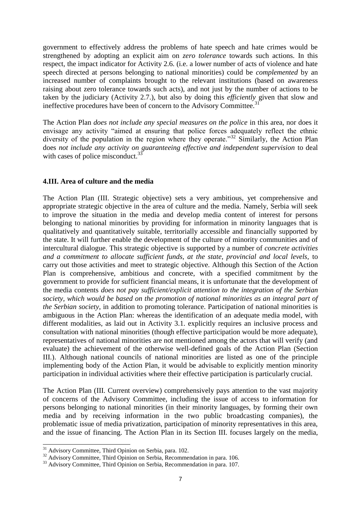government to effectively address the problems of hate speech and hate crimes would be strengthened by adopting an explicit aim on *zero tolerance* towards such actions. In this respect, the impact indicator for Activity 2.6. (i.e. a lower number of acts of violence and hate speech directed at persons belonging to national minorities) could be *complemented* by an increased number of complaints brought to the relevant institutions (based on awareness raising about zero tolerance towards such acts), and not just by the number of actions to be taken by the judiciary (Activity 2.7.), but also by doing this *efficiently* given that slow and ineffective procedures have been of concern to the Advisory Committee.<sup>31</sup>

The Action Plan *does not include any special measures on the police* in this area, nor does it envisage any activity "aimed at ensuring that police forces adequately reflect the ethnic diversity of the population in the region where they operate.<sup>32</sup> Similarly, the Action Plan does *not include any activity on guaranteeing effective and independent supervision* to deal with cases of police misconduct.<sup>33</sup>

#### **4.III. Area of culture and the media**

The Action Plan (III. Strategic objective) sets a very ambitious, yet comprehensive and appropriate strategic objective in the area of culture and the media. Namely, Serbia will seek to improve the situation in the media and develop media content of interest for persons belonging to national minorities by providing for information in minority languages that is qualitatively and quantitatively suitable, territorially accessible and financially supported by the state. It will further enable the development of the culture of minority communities and of intercultural dialogue. This strategic objective is supported by a number of *concrete activities and a commitment to allocate sufficient funds, at the state, provincial and local levels,* to carry out those activities and meet to strategic objective. Although this Section of the Action Plan is comprehensive, ambitious and concrete, with a specified commitment by the government to provide for sufficient financial means, it is unfortunate that the development of the media contents *does not pay sufficient/explicit attention to the integration of the Serbian society, which would be based on the promotion of national minorities as an integral part of the Serbian society*, in addition to promoting tolerance. Participation of national minorities is ambiguous in the Action Plan: whereas the identification of an adequate media model, with different modalities, as laid out in Activity 3.1. explicitly requires an inclusive process and consultation with national minorities (though effective participation would be more adequate), representatives of national minorities are not mentioned among the actors that will verify (and evaluate) the achievement of the otherwise well-defined goals of the Action Plan (Section III.). Although national councils of national minorities are listed as one of the principle implementing body of the Action Plan, it would be advisable to explicitly mention minority participation in individual activities where their effective participation is particularly crucial.

The Action Plan (III. Current overview) comprehensively pays attention to the vast majority of concerns of the Advisory Committee, including the issue of access to information for persons belonging to national minorities (in their minority languages, by forming their own media and by receiving information in the two public broadcasting companies), the problematic issue of media privatization, participation of minority representatives in this area, and the issue of financing. The Action Plan in its Section III. focuses largely on the media,

<sup>&</sup>lt;sup>31</sup> Advisory Committee, Third Opinion on Serbia, para. 102.

<sup>&</sup>lt;sup>32</sup> Advisory Committee, Third Opinion on Serbia, Recommendation in para. 106.

<sup>&</sup>lt;sup>33</sup> Advisory Committee, Third Opinion on Serbia, Recommendation in para. 107.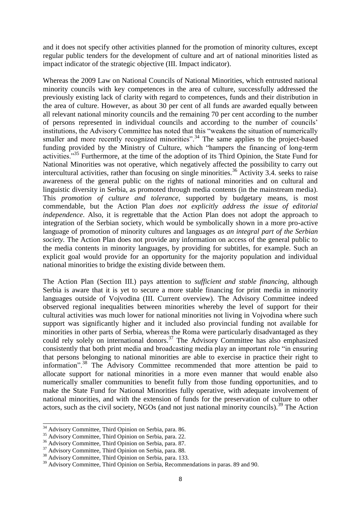and it does not specify other activities planned for the promotion of minority cultures, except regular public tenders for the development of culture and art of national minorities listed as impact indicator of the strategic objective (III. Impact indicator).

Whereas the 2009 Law on National Councils of National Minorities, which entrusted national minority councils with key competences in the area of culture, successfully addressed the previously existing lack of clarity with regard to competences, funds and their distribution in the area of culture. However, as about 30 per cent of all funds are awarded equally between all relevant national minority councils and the remaining 70 per cent according to the number of persons represented in individual councils and according to the number of councils' institutions, the Advisory Committee has noted that this "weakens the situation of numerically smaller and more recently recognized minorities".<sup>34</sup> The same applies to the project-based funding provided by the Ministry of Culture, which "hampers the financing of long-term activities."<sup>35</sup> Furthermore, at the time of the adoption of its Third Opinion, the State Fund for National Minorities was not operative, which negatively affected the possibility to carry out intercultural activities, rather than focusing on single minorities.<sup>36</sup> Activity 3.4. seeks to raise awareness of the general public on the rights of national minorities and on cultural and linguistic diversity in Serbia, as promoted through media contents (in the mainstream media). This *promotion of culture and tolerance*, supported by budgetary means, is most commendable, but the Action Plan *does not explicitly address the issue of editorial independence*. Also, it is regrettable that the Action Plan does not adopt the approach to integration of the Serbian society, which would be symbolically shown in a more pro-active language of promotion of minority cultures and languages *as an integral part of the Serbian society.* The Action Plan does not provide any information on access of the general public to the media contents in minority languages, by providing for subtitles, for example. Such an explicit goal would provide for an opportunity for the majority population and individual national minorities to bridge the existing divide between them.

The Action Plan (Section III.) pays attention to *sufficient and stable financing*, although Serbia is aware that it is yet to secure a more stable financing for print media in minority languages outside of Vojvodina (III. Current overview). The Advisory Committee indeed observed regional inequalities between minorities whereby the level of support for their cultural activities was much lower for national minorities not living in Vojvodina where such support was significantly higher and it included also provincial funding not available for minorities in other parts of Serbia, whereas the Roma were particularly disadvantaged as they could rely solely on international donors.<sup>37</sup> The Advisory Committee has also emphasized consistently that both print media and broadcasting media play an important role "in ensuring that persons belonging to national minorities are able to exercise in practice their right to information".<sup>38</sup> The Advisory Committee recommended that more attention be paid to allocate support for national minorities in a more even manner that would enable also numerically smaller communities to benefit fully from those funding opportunities, and to make the State Fund for National Minorities fully operative, with adequate involvement of national minorities, and with the extension of funds for the preservation of culture to other actors, such as the civil society, NGOs (and not just national minority councils).<sup>39</sup> The Action

<sup>&</sup>lt;sup>34</sup> Advisory Committee, Third Opinion on Serbia, para. 86.

<sup>&</sup>lt;sup>35</sup> Advisory Committee, Third Opinion on Serbia, para. 22.

<sup>&</sup>lt;sup>36</sup> Advisory Committee, Third Opinion on Serbia, para. 87.

<sup>37</sup> Advisory Committee, Third Opinion on Serbia, para. 88.

<sup>38</sup> Advisory Committee, Third Opinion on Serbia, para. 133.

<sup>&</sup>lt;sup>39</sup> Advisory Committee, Third Opinion on Serbia, Recommendations in paras. 89 and 90.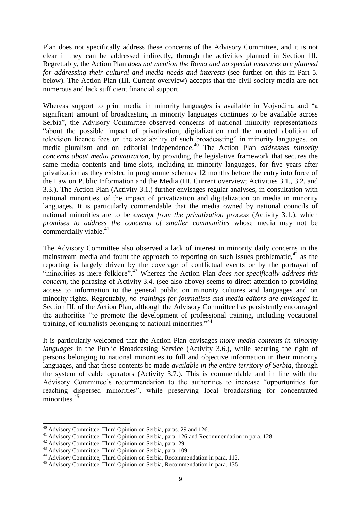Plan does not specifically address these concerns of the Advisory Committee, and it is not clear if they can be addressed indirectly, through the activities planned in Section III. Regrettably, the Action Plan *does not mention the Roma and no special measures are planned for addressing their cultural and media needs and interests* (see further on this in Part 5. below). The Action Plan (III. Current overview) accepts that the civil society media are not numerous and lack sufficient financial support.

Whereas support to print media in minority languages is available in Vojvodina and "a significant amount of broadcasting in minority languages continues to be available across Serbia", the Advisory Committee observed concerns of national minority representations "about the possible impact of privatization, digitalization and the mooted abolition of television licence fees on the availability of such broadcasting" in minority languages, on media pluralism and on editorial independence.<sup>40</sup> The Action Plan *addresses minority concerns about media privatization*, by providing the legislative framework that secures the same media contents and time-slots, including in minority languages, for five years after privatization as they existed in programme schemes 12 months before the entry into force of the Law on Public Information and the Media (III. Current overview; Activities 3.1., 3.2. and 3.3.). The Action Plan (Activity 3.1.) further envisages regular analyses, in consultation with national minorities, of the impact of privatization and digitalization on media in minority languages. It is particularly commendable that the media owned by national councils of national minorities are to be *exempt from the privatization process* (Activity 3.1.), which *promises to address the concerns of smaller communities* whose media may not be commercially viable. $41$ 

The Advisory Committee also observed a lack of interest in minority daily concerns in the mainstream media and fount the approach to reporting on such issues problematic,  $42$  as the reporting is largely driven by the coverage of conflictual events or by the portrayal of "minorities as mere folklore".<sup>43</sup> Whereas the Action Plan *does not specifically address this concern*, the phrasing of Activity 3.4. (see also above) seems to direct attention to providing access to information to the general public on minority cultures and languages and on minority rights. Regrettably, *no trainings for journalists and media editors are envisaged* in Section III. of the Action Plan, although the Advisory Committee has persistently encouraged the authorities "to promote the development of professional training, including vocational training, of journalists belonging to national minorities."<sup>44</sup>

It is particularly welcomed that the Action Plan envisages *more media contents in minority languages* in the Public Broadcasting Service (Activity 3.6.), while securing the right of persons belonging to national minorities to full and objective information in their minority languages, and that those contents be made *available in the entire territory of Serbia*, through the system of cable operators (Activity 3.7.). This is commendable and in line with the Advisory Committee's recommendation to the authorities to increase "opportunities for reaching dispersed minorities", while preserving local broadcasting for concentrated minorities.<sup>45</sup>

<sup>&</sup>lt;sup>40</sup> Advisory Committee, Third Opinion on Serbia, paras. 29 and 126.

<sup>41</sup> Advisory Committee, Third Opinion on Serbia, para. 126 and Recommendation in para. 128.

<sup>&</sup>lt;sup>42</sup> Advisory Committee, Third Opinion on Serbia, para. 29.

<sup>43</sup> Advisory Committee, Third Opinion on Serbia, para. 109.

<sup>44</sup> Advisory Committee, Third Opinion on Serbia, Recommendation in para. 112.

<sup>45</sup> Advisory Committee, Third Opinion on Serbia, Recommendation in para. 135.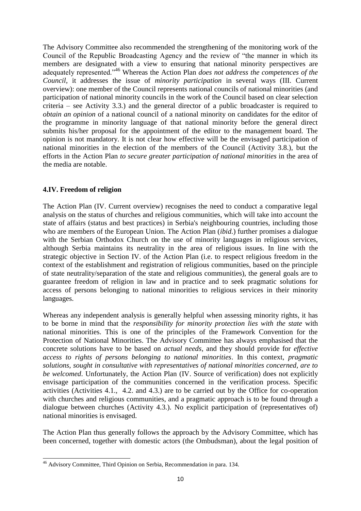The Advisory Committee also recommended the strengthening of the monitoring work of the Council of the Republic Broadcasting Agency and the review of "the manner in which its members are designated with a view to ensuring that national minority perspectives are adequately represented."<sup>46</sup> Whereas the Action Plan *does not address the competences of the Council*, it addresses the issue of *minority participation* in several ways (III. Current overview): one member of the Council represents national councils of national minorities (and participation of national minority councils in the work of the Council based on clear selection criteria – see Activity 3.3.) and the general director of a public broadcaster is required to *obtain an opinion* of a national council of a national minority on candidates for the editor of the programme in minority language of that national minority before the general direct submits his/her proposal for the appointment of the editor to the management board. The opinion is not mandatory. It is not clear how effective will be the envisaged participation of national minorities in the election of the members of the Council (Activity 3.8.), but the efforts in the Action Plan *to secure greater participation of national minorities* in the area of the media are notable.

#### **4.IV. Freedom of religion**

The Action Plan (IV. Current overview) recognises the need to conduct a comparative legal analysis on the status of churches and religious communities, which will take into account the state of affairs (status and best practices) in Serbia's neighbouring countries, including those who are members of the European Union. The Action Plan (*ibid*.) further promises a dialogue with the Serbian Orthodox Church on the use of minority languages in religious services, although Serbia maintains its neutrality in the area of religious issues. In line with the strategic objective in Section IV. of the Action Plan (i.e. to respect religious freedom in the context of the establishment and registration of religious communities, based on the principle of state neutrality/separation of the state and religious communities), the general goals are to guarantee freedom of religion in law and in practice and to seek pragmatic solutions for access of persons belonging to national minorities to religious services in their minority languages.

Whereas any independent analysis is generally helpful when assessing minority rights, it has to be borne in mind that the *responsibility for minority protection lies with the state* with national minorities. This is one of the principles of the Framework Convention for the Protection of National Minorities. The Advisory Committee has always emphasised that the concrete solutions have to be based on *actual needs*, and they should provide for *effective access to rights of persons belonging to national minorities*. In this context, *pragmatic solutions, sought in consultative with representatives of national minorities concerned, are to be welcomed*. Unfortunately, the Action Plan (IV. Source of verification) does not explicitly envisage participation of the communities concerned in the verification process. Specific activities (Activities 4.1., 4.2. and 4.3.) are to be carried out by the Office for co-operation with churches and religious communities, and a pragmatic approach is to be found through a dialogue between churches (Activity 4.3.). No explicit participation of (representatives of) national minorities is envisaged.

The Action Plan thus generally follows the approach by the Advisory Committee, which has been concerned, together with domestic actors (the Ombudsman), about the legal position of

<sup>-</sup><sup>46</sup> Advisory Committee, Third Opinion on Serbia, Recommendation in para. 134.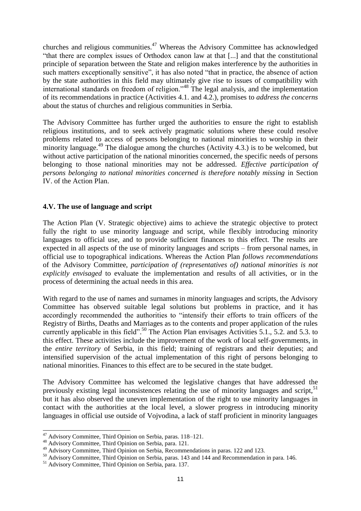churches and religious communities.<sup>47</sup> Whereas the Advisory Committee has acknowledged "that there are complex issues of Orthodox canon law at that [...] and that the constitutional principle of separation between the State and religion makes interference by the authorities in such matters exceptionally sensitive", it has also noted "that in practice, the absence of action by the state authorities in this field may ultimately give rise to issues of compatibility with international standards on freedom of religion."<sup>48</sup> The legal analysis, and the implementation of its recommendations in practice (Activities 4.1. and 4.2.), promises to *address the concerns* about the status of churches and religious communities in Serbia.

The Advisory Committee has further urged the authorities to ensure the right to establish religious institutions, and to seek actively pragmatic solutions where these could resolve problems related to access of persons belonging to national minorities to worship in their minority language.<sup>49</sup> The dialogue among the churches (Activity 4.3.) is to be welcomed, but without active participation of the national minorities concerned, the specific needs of persons belonging to those national minorities may not be addressed. *Effective participation of persons belonging to national minorities concerned is therefore notably missing* in Section IV. of the Action Plan.

#### **4.V. The use of language and script**

The Action Plan (V. Strategic objective) aims to achieve the strategic objective to protect fully the right to use minority language and script, while flexibly introducing minority languages to official use, and to provide sufficient finances to this effect. The results are expected in all aspects of the use of minority languages and scripts – from personal names, in official use to topographical indications. Whereas the Action Plan *follows recommendations* of the Advisory Committee, *participation of (representatives of) national minorities is not explicitly envisaged* to evaluate the implementation and results of all activities, or in the process of determining the actual needs in this area.

With regard to the use of names and surnames in minority languages and scripts, the Advisory Committee has observed suitable legal solutions but problems in practice, and it has accordingly recommended the authorities to "intensify their efforts to train officers of the Registry of Births, Deaths and Marriages as to the contents and proper application of the rules currently applicable in this field".<sup>50</sup> The Action Plan envisages Activities 5.1., 5.2. and 5.3. to this effect. These activities include the improvement of the work of local self-governments, in the *entire territory* of Serbia, in this field; training of registrars and their deputies; and intensified supervision of the actual implementation of this right of persons belonging to national minorities. Finances to this effect are to be secured in the state budget.

The Advisory Committee has welcomed the legislative changes that have addressed the previously existing legal inconsistences relating the use of minority languages and script,  $51$ but it has also observed the uneven implementation of the right to use minority languages in contact with the authorities at the local level, a slower progress in introducing minority languages in official use outside of Vojvodina, a lack of staff proficient in minority languages

<sup>&</sup>lt;sup>47</sup> Advisory Committee, Third Opinion on Serbia, paras. 118–121.

<sup>48</sup> Advisory Committee, Third Opinion on Serbia, para. 121.

<sup>49</sup> Advisory Committee, Third Opinion on Serbia, Recommendations in paras. 122 and 123.

<sup>&</sup>lt;sup>50</sup> Advisory Committee, Third Opinion on Serbia, paras. 143 and 144 and Recommendation in para. 146.

<sup>51</sup> Advisory Committee, Third Opinion on Serbia, para. 137.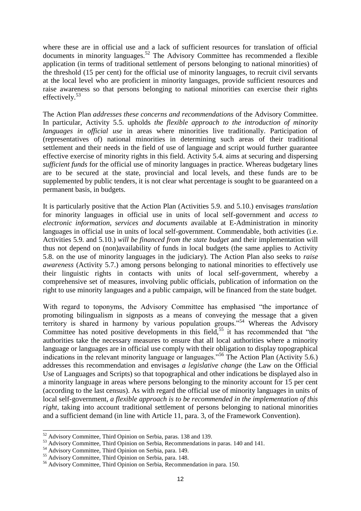where these are in official use and a lack of sufficient resources for translation of official documents in minority languages.<sup>52</sup> The Advisory Committee has recommended a flexible application (in terms of traditional settlement of persons belonging to national minorities) of the threshold (15 per cent) for the official use of minority languages, to recruit civil servants at the local level who are proficient in minority languages, provide sufficient resources and raise awareness so that persons belonging to national minorities can exercise their rights effectively. $53$ 

The Action Plan *addresses these concerns and recommendations* of the Advisory Committee. In particular, Activity 5.5. upholds *the flexible approach to the introduction of minority languages in official use* in areas where minorities live traditionally. Participation of (representatives of) national minorities in determining such areas of their traditional settlement and their needs in the field of use of language and script would further guarantee effective exercise of minority rights in this field. Activity 5.4. aims at securing and dispersing *sufficient funds* for the official use of minority languages in practice. Whereas budgetary lines are to be secured at the state, provincial and local levels, and these funds are to be supplemented by public tenders, it is not clear what percentage is sought to be guaranteed on a permanent basis, in budgets.

It is particularly positive that the Action Plan (Activities 5.9. and 5.10.) envisages *translation* for minority languages in official use in units of local self-government and *access to electronic information, services and documents* available at E-Administration in minority languages in official use in units of local self-government. Commendable, both activities (i.e. Activities 5.9. and 5.10.) *will be financed from the state budget* and their implementation will thus not depend on (non)availability of funds in local budgets (the same applies to Activity 5.8. on the use of minority languages in the judiciary). The Action Plan also seeks to *raise awareness* (Activity 5.7.) among persons belonging to national minorities to effectively use their linguistic rights in contacts with units of local self-government, whereby a comprehensive set of measures, involving public officials, publication of information on the right to use minority languages and a public campaign, will be financed from the state budget.

With regard to toponyms, the Advisory Committee has emphasised "the importance of promoting bilingualism in signposts as a means of conveying the message that a given territory is shared in harmony by various population groups."<sup>54</sup> Whereas the Advisory Committee has noted positive developments in this field,  $55$  it has recommended that "the authorities take the necessary measures to ensure that all local authorities where a minority language or languages are in official use comply with their obligation to display topographical indications in the relevant minority language or languages."<sup>56</sup> The Action Plan (Activity 5.6.) addresses this recommendation and envisages *a legislative change* (the Law on the Official Use of Languages and Scripts) so that topographical and other indications be displayed also in a minority language in areas where persons belonging to the minority account for 15 per cent (according to the last census). As with regard the official use of minority languages in units of local self-government, *a flexible approach is to be recommended in the implementation of this right*, taking into account traditional settlement of persons belonging to national minorities and a sufficient demand (in line with Article 11, para. 3, of the Framework Convention).

 $52$  Advisory Committee, Third Opinion on Serbia, paras. 138 and 139.

<sup>53</sup> Advisory Committee, Third Opinion on Serbia, Recommendations in paras. 140 and 141.

<sup>54</sup> Advisory Committee, Third Opinion on Serbia, para. 149.

<sup>55</sup> Advisory Committee, Third Opinion on Serbia, para. 148.

<sup>56</sup> Advisory Committee, Third Opinion on Serbia, Recommendation in para. 150.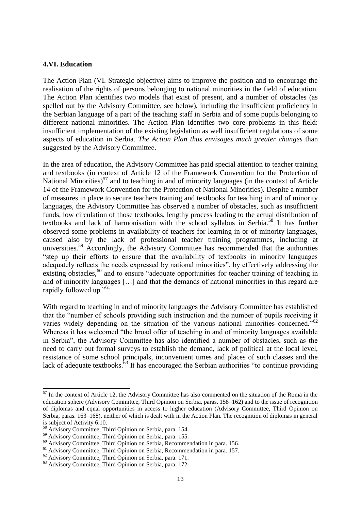#### **4.VI. Education**

The Action Plan (VI. Strategic objective) aims to improve the position and to encourage the realisation of the rights of persons belonging to national minorities in the field of education. The Action Plan identifies two models that exist of present, and a number of obstacles (as spelled out by the Advisory Committee, see below), including the insufficient proficiency in the Serbian language of a part of the teaching staff in Serbia and of some pupils belonging to different national minorities. The Action Plan identifies two core problems in this field: insufficient implementation of the existing legislation as well insufficient regulations of some aspects of education in Serbia. *The Action Plan thus envisages much greater changes* than suggested by the Advisory Committee.

In the area of education, the Advisory Committee has paid special attention to teacher training and textbooks (in context of Article 12 of the Framework Convention for the Protection of National Minorities)<sup>57</sup> and to teaching in and of minority languages (in the context of Article 14 of the Framework Convention for the Protection of National Minorities). Despite a number of measures in place to secure teachers training and textbooks for teaching in and of minority languages, the Advisory Committee has observed a number of obstacles, such as insufficient funds, low circulation of those textbooks, lengthy process leading to the actual distribution of textbooks and lack of harmonisation with the school syllabus in Serbia.<sup>58</sup> It has further observed some problems in availability of teachers for learning in or of minority languages, caused also by the lack of professional teacher training programmes, including at universities.<sup>59</sup> Accordingly, the Advisory Committee has recommended that the authorities "step up their efforts to ensure that the availability of textbooks in minority languages adequately reflects the needs expressed by national minorities", by effectively addressing the existing obstacles,<sup>60</sup> and to ensure "adequate opportunities for teacher training of teaching in and of minority languages […] and that the demands of national minorities in this regard are rapidly followed up."<sup>61</sup>

With regard to teaching in and of minority languages the Advisory Committee has established that the "number of schools providing such instruction and the number of pupils receiving it varies widely depending on the situation of the various national minorities concerned."<sup>62</sup> Whereas it has welcomed "the broad offer of teaching in and of minority languages available in Serbia", the Advisory Committee has also identified a number of obstacles, such as the need to carry out formal surveys to establish the demand, lack of political at the local level, resistance of some school principals, inconvenient times and places of such classes and the lack of adequate textbooks.<sup>63</sup> It has encouraged the Serbian authorities "to continue providing

 $<sup>57</sup>$  In the context of Article 12, the Advisory Committee has also commented on the situation of the Roma in the</sup> education sphere (Advisory Committee, Third Opinion on Serbia, paras. 158–162) and to the issue of recognition of diplomas and equal opportunities in access to higher education (Advisory Committee, Third Opinion on Serbia, paras. 163–168), neither of which is dealt with in the Action Plan. The recognition of diplomas in general is subject of Activity 6.10.

 $3<sup>3</sup>$  Advisory Committee, Third Opinion on Serbia, para. 154.

<sup>59</sup> Advisory Committee, Third Opinion on Serbia, para. 155.

<sup>60</sup> Advisory Committee, Third Opinion on Serbia, Recommendation in para. 156.

<sup>&</sup>lt;sup>61</sup> Advisory Committee, Third Opinion on Serbia, Recommendation in para. 157.

<sup>62</sup> Advisory Committee, Third Opinion on Serbia, para. 171.

<sup>63</sup> Advisory Committee, Third Opinion on Serbia, para. 172.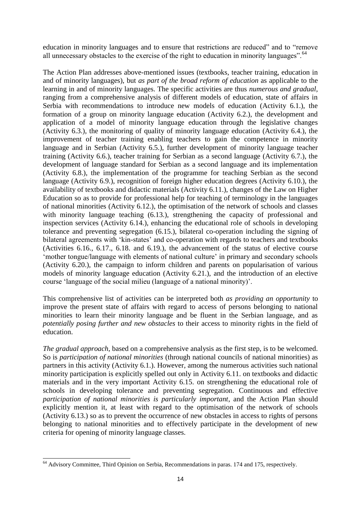education in minority languages and to ensure that restrictions are reduced" and to "remove all unnecessary obstacles to the exercise of the right to education in minority languages". <sup>64</sup>

The Action Plan addresses above-mentioned issues (textbooks, teacher training, education in and of minority languages), but *as part of the broad reform of education* as applicable to the learning in and of minority languages. The specific activities are thus *numerous and gradual*, ranging from a comprehensive analysis of different models of education, state of affairs in Serbia with recommendations to introduce new models of education (Activity 6.1.), the formation of a group on minority language education (Activity 6.2.), the development and application of a model of minority language education through the legislative changes (Activity 6.3.), the monitoring of quality of minority language education (Activity 6.4.), the improvement of teacher training enabling teachers to gain the competence in minority language and in Serbian (Activity 6.5.), further development of minority language teacher training (Activity 6.6.), teacher training for Serbian as a second language (Activity 6.7.), the development of language standard for Serbian as a second language and its implementation (Activity 6.8.), the implementation of the programme for teaching Serbian as the second language (Activity 6.9.), recognition of foreign higher education degrees (Activity 6.10.), the availability of textbooks and didactic materials (Activity 6.11.), changes of the Law on Higher Education so as to provide for professional help for teaching of terminology in the languages of national minorities (Activity 6.12.), the optimisation of the network of schools and classes with minority language teaching (6.13.), strengthening the capacity of professional and inspection services (Activity 6.14.), enhancing the educational role of schools in developing tolerance and preventing segregation (6.15.), bilateral co-operation including the signing of bilateral agreements with 'kin-states' and co-operation with regards to teachers and textbooks (Activities 6.16., 6.17., 6.18. and 6.19.), the advancement of the status of elective course 'mother tongue/language with elements of national culture' in primary and secondary schools (Activity 6.20.), the campaign to inform children and parents on popularisation of various models of minority language education (Activity 6.21.), and the introduction of an elective course 'language of the social milieu (language of a national minority)'.

This comprehensive list of activities can be interpreted both *as providing an opportunity* to improve the present state of affairs with regard to access of persons belonging to national minorities to learn their minority language and be fluent in the Serbian language, and as *potentially posing further and new obstacles* to their access to minority rights in the field of education.

*The gradual approach*, based on a comprehensive analysis as the first step, is to be welcomed. So is *participation of national minorities* (through national councils of national minorities) as partners in this activity (Activity 6.1.). However, among the numerous activities such national minority participation is explicitly spelled out only in Activity 6.11. on textbooks and didactic materials and in the very important Activity 6.15. on strengthening the educational role of schools in developing tolerance and preventing segregation. Continuous and effective *participation of national minorities is particularly important*, and the Action Plan should explicitly mention it, at least with regard to the optimisation of the network of schools (Activity 6.13.) so as to prevent the occurrence of new obstacles in access to rights of persons belonging to national minorities and to effectively participate in the development of new criteria for opening of minority language classes.

<sup>-</sup> $64$  Advisory Committee, Third Opinion on Serbia, Recommendations in paras. 174 and 175, respectively.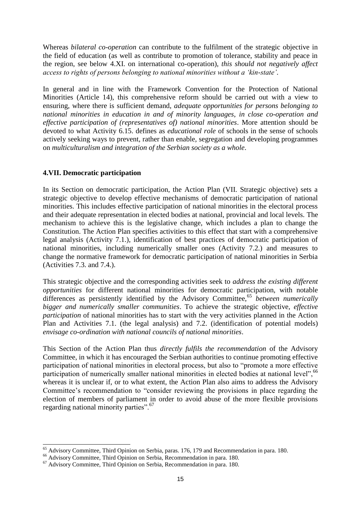Whereas *bilateral co-operation* can contribute to the fulfilment of the strategic objective in the field of education (as well as contribute to promotion of tolerance, stability and peace in the region, see below 4.XI. on international co-operation), *this should not negatively affect access to rights of persons belonging to national minorities without a 'kin-state'*.

In general and in line with the Framework Convention for the Protection of National Minorities (Article 14), this comprehensive reform should be carried out with a view to ensuring, where there is sufficient demand, *adequate opportunities for persons belonging to national minorities in education in and of minority languages*, *in close co-operation and effective participation of (representatives of) national minorities*. More attention should be devoted to what Activity 6.15. defines as *educational role* of schools in the sense of schools actively seeking ways to prevent, rather than enable, segregation and developing programmes on *multiculturalism and integration of the Serbian society as a whole*.

#### **4.VII. Democratic participation**

In its Section on democratic participation, the Action Plan (VII. Strategic objective) sets a strategic objective to develop effective mechanisms of democratic participation of national minorities. This includes effective participation of national minorities in the electoral process and their adequate representation in elected bodies at national, provincial and local levels. The mechanism to achieve this is the legislative change, which includes a plan to change the Constitution. The Action Plan specifies activities to this effect that start with a comprehensive legal analysis (Activity 7.1.), identification of best practices of democratic participation of national minorities, including numerically smaller ones (Activity 7.2.) and measures to change the normative framework for democratic participation of national minorities in Serbia (Activities 7.3. and 7.4.).

This strategic objective and the corresponding activities seek to *address the existing different opportunities* for different national minorities for democratic participation, with notable differences as persistently identified by the Advisory Committee,<sup>65</sup> *between numerically bigger and numerically smaller communities*. To achieve the strategic objective, *effective participation* of national minorities has to start with the very activities planned in the Action Plan and Activities 7.1. (the legal analysis) and 7.2. (identification of potential models) *envisage co-ordination with national councils of national minorities*.

This Section of the Action Plan thus *directly fulfils the recommendation* of the Advisory Committee, in which it has encouraged the Serbian authorities to continue promoting effective participation of national minorities in electoral process, but also to "promote a more effective participation of numerically smaller national minorities in elected bodies at national level", 66 whereas it is unclear if, or to what extent, the Action Plan also aims to address the Advisory Committee's recommendation to "consider reviewing the provisions in place regarding the election of members of parliament in order to avoid abuse of the more flexible provisions regarding national minority parties".<sup>67</sup>

<sup>&</sup>lt;sup>65</sup> Advisory Committee, Third Opinion on Serbia, paras. 176, 179 and Recommendation in para. 180.

<sup>66</sup> Advisory Committee, Third Opinion on Serbia, Recommendation in para. 180.

<sup>67</sup> Advisory Committee, Third Opinion on Serbia, Recommendation in para. 180.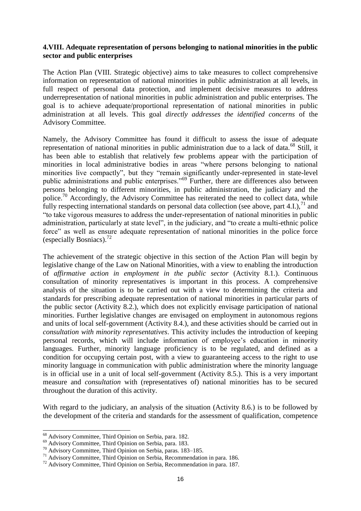#### **4.VIII. Adequate representation of persons belonging to national minorities in the public sector and public enterprises**

The Action Plan (VIII. Strategic objective) aims to take measures to collect comprehensive information on representation of national minorities in public administration at all levels, in full respect of personal data protection, and implement decisive measures to address underrepresentation of national minorities in public administration and public enterprises. The goal is to achieve adequate/proportional representation of national minorities in public administration at all levels. This goal *directly addresses the identified concerns* of the Advisory Committee.

Namely, the Advisory Committee has found it difficult to assess the issue of adequate representation of national minorities in public administration due to a lack of data.<sup>68</sup> Still, it has been able to establish that relatively few problems appear with the participation of minorities in local administrative bodies in areas "where persons belonging to national minorities live compactly", but they "remain significantly under-represented in state-level public administrations and public enterprises."<sup>69</sup> Further, there are differences also between persons belonging to different minorities, in public administration, the judiciary and the police.<sup>70</sup> Accordingly, the Advisory Committee has reiterated the need to collect data, while fully respecting international standards on personal data collection (see above, part  $4.I.$ ).<sup>71</sup> and "to take vigorous measures to address the under-representation of national minorities in public administration, particularly at state level", in the judiciary, and "to create a multi-ethnic police force" as well as ensure adequate representation of national minorities in the police force (especially Bosniacs). $^{72}$ 

The achievement of the strategic objective in this section of the Action Plan will begin by legislative change of the Law on National Minorities, with a view to enabling the introduction of *affirmative action in employment in the public sector* (Activity 8.1.). Continuous consultation of minority representatives is important in this process. A comprehensive analysis of the situation is to be carried out with a view to determining the criteria and standards for prescribing adequate representation of national minorities in particular parts of the public sector (Activity 8.2.), which does not explicitly envisage participation of national minorities. Further legislative changes are envisaged on employment in autonomous regions and units of local self-government (Activity 8.4.), and these activities should be carried out in *consultation with minority representatives*. This activity includes the introduction of keeping personal records, which will include information of employee's education in minority languages. Further, minority language proficiency is to be regulated, and defined as a condition for occupying certain post, with a view to guaranteeing access to the right to use minority language in communication with public administration where the minority language is in official use in a unit of local self-government (Activity 8.5.). This is a very important measure and *consultation* with (representatives of) national minorities has to be secured throughout the duration of this activity.

With regard to the judiciary, an analysis of the situation (Activity 8.6.) is to be followed by the development of the criteria and standards for the assessment of qualification, competence

<sup>&</sup>lt;sup>68</sup> Advisory Committee, Third Opinion on Serbia, para. 182.

<sup>&</sup>lt;sup>69</sup> Advisory Committee, Third Opinion on Serbia, para. 183.

<sup>70</sup> Advisory Committee, Third Opinion on Serbia, paras. 183–185.

<sup>71</sup> Advisory Committee, Third Opinion on Serbia, Recommendation in para. 186.

<sup>72</sup> Advisory Committee, Third Opinion on Serbia, Recommendation in para. 187.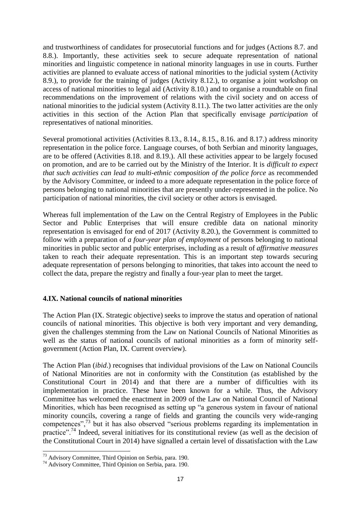and trustworthiness of candidates for prosecutorial functions and for judges (Actions 8.7. and 8.8.). Importantly, these activities seek to secure adequate representation of national minorities and linguistic competence in national minority languages in use in courts. Further activities are planned to evaluate access of national minorities to the judicial system (Activity 8.9.), to provide for the training of judges (Activity 8.12.), to organise a joint workshop on access of national minorities to legal aid (Activity 8.10.) and to organise a roundtable on final recommendations on the improvement of relations with the civil society and on access of national minorities to the judicial system (Activity 8.11.). The two latter activities are the only activities in this section of the Action Plan that specifically envisage *participation* of representatives of national minorities.

Several promotional activities (Activities 8.13., 8.14., 8.15., 8.16. and 8.17.) address minority representation in the police force. Language courses, of both Serbian and minority languages, are to be offered (Activities 8.18. and 8.19.). All these activities appear to be largely focused on promotion, and are to be carried out by the Ministry of the Interior. It is *difficult to expect that such activities can lead to multi-ethnic composition of the police force* as recommended by the Advisory Committee, or indeed to a more adequate representation in the police force of persons belonging to national minorities that are presently under-represented in the police. No participation of national minorities, the civil society or other actors is envisaged.

Whereas full implementation of the Law on the Central Registry of Employees in the Public Sector and Public Enterprises that will ensure credible data on national minority representation is envisaged for end of 2017 (Activity 8.20.), the Government is committed to follow with a preparation of *a four-year plan of employment* of persons belonging to national minorities in public sector and public enterprises, including as a result of *affirmative measures* taken to reach their adequate representation. This is an important step towards securing adequate representation of persons belonging to minorities, that takes into account the need to collect the data, prepare the registry and finally a four-year plan to meet the target.

#### **4.IX. National councils of national minorities**

The Action Plan (IX. Strategic objective) seeks to improve the status and operation of national councils of national minorities. This objective is both very important and very demanding, given the challenges stemming from the Law on National Councils of National Minorities as well as the status of national councils of national minorities as a form of minority selfgovernment (Action Plan, IX. Current overview).

The Action Plan (*ibid*.) recognises that individual provisions of the Law on National Councils of National Minorities are not in conformity with the Constitution (as established by the Constitutional Court in 2014) and that there are a number of difficulties with its implementation in practice. These have been known for a while. Thus, the Advisory Committee has welcomed the enactment in 2009 of the Law on National Council of National Minorities, which has been recognised as setting up "a generous system in favour of national minority councils, covering a range of fields and granting the councils very wide-ranging competences",<sup>73</sup> but it has also observed "serious problems regarding its implementation in practice"<sup>74</sup> Indeed, several initiatives for its constitutional review (as well as the decision of the Constitutional Court in 2014) have signalled a certain level of dissatisfaction with the Law

<sup>-</sup><sup>73</sup> Advisory Committee, Third Opinion on Serbia, para. 190.

<sup>74</sup> Advisory Committee, Third Opinion on Serbia, para. 190.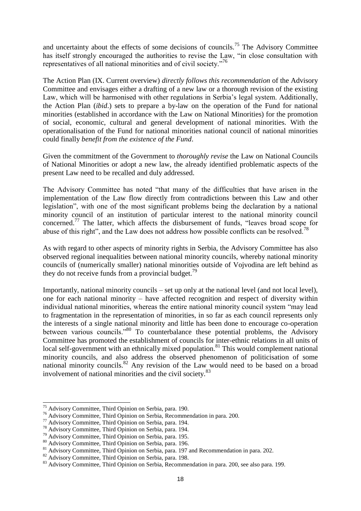and uncertainty about the effects of some decisions of councils.<sup>75</sup> The Advisory Committee has itself strongly encouraged the authorities to revise the Law, "in close consultation with representatives of all national minorities and of civil society."<sup>76</sup>

The Action Plan (IX. Current overview) *directly follows this recommendation* of the Advisory Committee and envisages either a drafting of a new law or a thorough revision of the existing Law, which will be harmonised with other regulations in Serbia's legal system. Additionally, the Action Plan (*ibid*.) sets to prepare a by-law on the operation of the Fund for national minorities (established in accordance with the Law on National Minorities) for the promotion of social, economic, cultural and general development of national minorities. With the operationalisation of the Fund for national minorities national council of national minorities could finally *benefit from the existence of the Fund*.

Given the commitment of the Government to *thoroughly revise* the Law on National Councils of National Minorities or adopt a new law, the already identified problematic aspects of the present Law need to be recalled and duly addressed.

The Advisory Committee has noted "that many of the difficulties that have arisen in the implementation of the Law flow directly from contradictions between this Law and other legislation", with one of the most significant problems being the declaration by a national minority council of an institution of particular interest to the national minority council concerned.<sup>77</sup> The latter, which affects the disbursement of funds, "leaves broad scope for abuse of this right", and the Law does not address how possible conflicts can be resolved.<sup>78</sup>

As with regard to other aspects of minority rights in Serbia, the Advisory Committee has also observed regional inequalities between national minority councils, whereby national minority councils of (numerically smaller) national minorities outside of Vojvodina are left behind as they do not receive funds from a provincial budget.<sup>79</sup>

Importantly, national minority councils – set up only at the national level (and not local level), one for each national minority – have affected recognition and respect of diversity within individual national minorities, whereas the entire national minority council system "may lead to fragmentation in the representation of minorities, in so far as each council represents only the interests of a single national minority and little has been done to encourage co-operation between various councils."<sup>80</sup> To counterbalance these potential problems, the Advisory Committee has promoted the establishment of councils for inter-ethnic relations in all units of local self-government with an ethnically mixed population.<sup>81</sup> This would complement national minority councils, and also address the observed phenomenon of politicisation of some national minority councils.<sup>82</sup> Any revision of the Law would need to be based on a broad involvement of national minorities and the civil society.<sup>83</sup>

<sup>&</sup>lt;sup>75</sup> Advisory Committee, Third Opinion on Serbia, para. 190.

<sup>&</sup>lt;sup>76</sup> Advisory Committee, Third Opinion on Serbia, Recommendation in para. 200.

<sup>&</sup>lt;sup>77</sup> Advisory Committee, Third Opinion on Serbia, para. 194.

<sup>&</sup>lt;sup>78</sup> Advisory Committee, Third Opinion on Serbia, para. 194.

 $79$  Advisory Committee, Third Opinion on Serbia, para. 195.

<sup>80</sup> Advisory Committee, Third Opinion on Serbia, para. 196.

<sup>&</sup>lt;sup>81</sup> Advisory Committee, Third Opinion on Serbia, para. 197 and Recommendation in para. 202.

<sup>82</sup> Advisory Committee, Third Opinion on Serbia, para. 198.

<sup>&</sup>lt;sup>83</sup> Advisory Committee, Third Opinion on Serbia, Recommendation in para. 200, see also para. 199.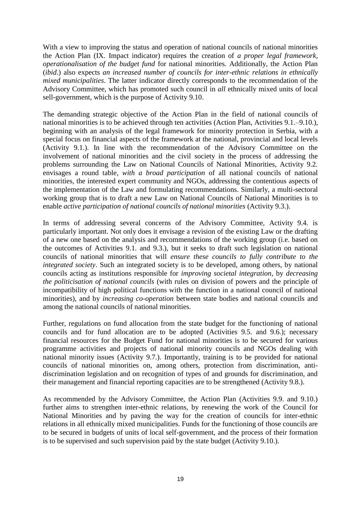With a view to improving the status and operation of national councils of national minorities the Action Plan (IX. Impact indicator) requires the creation of *a proper legal framework, operationalisation of the budget fund* for national minorities. Additionally, the Action Plan (*ibid*.) also expects *an increased number of councils for inter-ethnic relations in ethnically mixed municipalities*. The latter indicator directly corresponds to the recommendation of the Advisory Committee, which has promoted such council in *all* ethnically mixed units of local sell-government, which is the purpose of Activity 9.10.

The demanding strategic objective of the Action Plan in the field of national councils of national minorities is to be achieved through ten activities (Action Plan, Activities 9.1.–9.10.), beginning with an analysis of the legal framework for minority protection in Serbia, with a special focus on financial aspects of the framework at the national, provincial and local levels (Activity 9.1.). In line with the recommendation of the Advisory Committee on the involvement of national minorities and the civil society in the process of addressing the problems surrounding the Law on National Councils of National Minorities, Activity 9.2. envisages a round table, *with a broad participation* of all national councils of national minorities, the interested expert community and NGOs, addressing the contentious aspects of the implementation of the Law and formulating recommendations. Similarly, a multi-sectoral working group that is to draft a new Law on National Councils of National Minorities is to enable *active participation of national councils of national minorities* (Activity 9.3.).

In terms of addressing several concerns of the Advisory Committee, Activity 9.4. is particularly important. Not only does it envisage a revision of the existing Law or the drafting of a new one based on the analysis and recommendations of the working group (i.e. based on the outcomes of Activities 9.1. and 9.3.), but it seeks to draft such legislation on national councils of national minorities that will *ensure these councils to fully contribute to the integrated society*. Such an integrated society is to be developed, among others, by national councils acting as institutions responsible for *improving societal integration*, by *decreasing the politicisation of national councils* (with rules on division of powers and the principle of incompatibility of high political functions with the function in a national council of national minorities), and by *increasing co-operation* between state bodies and national councils and among the national councils of national minorities.

Further, regulations on fund allocation from the state budget for the functioning of national councils and for fund allocation are to be adopted (Activities 9.5. and 9.6.); necessary financial resources for the Budget Fund for national minorities is to be secured for various programme activities and projects of national minority councils and NGOs dealing with national minority issues (Activity 9.7.). Importantly, training is to be provided for national councils of national minorities on, among others, protection from discrimination, antidiscrimination legislation and on recognition of types of and grounds for discrimination, and their management and financial reporting capacities are to be strengthened (Activity 9.8.).

As recommended by the Advisory Committee, the Action Plan (Activities 9.9. and 9.10.) further aims to strengthen inter-ethnic relations, by renewing the work of the Council for National Minorities and by paving the way for the creation of councils for inter-ethnic relations in all ethnically mixed municipalities. Funds for the functioning of those councils are to be secured in budgets of units of local self-government, and the process of their formation is to be supervised and such supervision paid by the state budget (Activity 9.10.).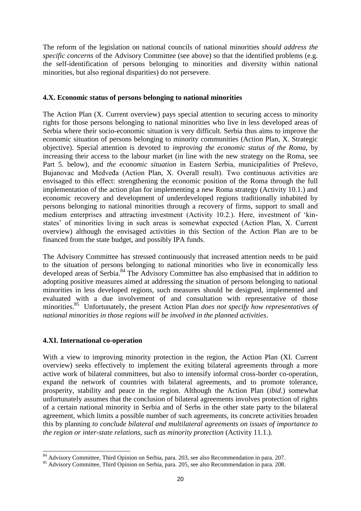The reform of the legislation on national councils of national minorities *should address the specific concerns* of the Advisory Committee (see above) so that the identified problems (e.g. the self-identification of persons belonging to minorities and diversity within national minorities, but also regional disparities) do not persevere.

#### **4.X. Economic status of persons belonging to national minorities**

The Action Plan (X. Current overview) pays special attention to securing access to minority rights for those persons belonging to national minorities who live in less developed areas of Serbia where their socio-economic situation is very difficult. Serbia thus aims to improve the economic situation of persons belonging to minority communities (Action Plan, X. Strategic objective). Special attention is devoted to *improving the economic status of the Roma*, by increasing their access to the labour market (in line with the new strategy on the Roma, see Part 5. below), and *the economic situation* in Eastern Serbia, municipalities of Preševo, Bujanovac and Medveđa (Action Plan, X. Overall result). Two continuous activities are envisaged to this effect: strengthening the economic position of the Roma through the full implementation of the action plan for implementing a new Roma strategy (Activity 10.1.) and economic recovery and development of underdeveloped regions traditionally inhabited by persons belonging to national minorities through a recovery of firms, support to small and medium enterprises and attracting investment (Activity 10.2.). Here, investment of 'kinstates' of minorities living in such areas is somewhat expected (Action Plan, X. Current overview) although the envisaged activities in this Section of the Action Plan are to be financed from the state budget, and possibly IPA funds.

The Advisory Committee has stressed continuously that increased attention needs to be paid to the situation of persons belonging to national minorities who live in economically less developed areas of Serbia.<sup>84</sup> The Advisory Committee has also emphasised that in addition to adopting positive measures aimed at addressing the situation of persons belonging to national minorities in less developed regions, such measures should be designed, implemented and evaluated with a due involvement of and consultation with representative of those minorities.<sup>85</sup> Unfortunately, the present Action Plan *does not specify how representatives of national minorities in those regions will be involved in the planned activities*.

#### **4.XI. International co-operation**

With a view to improving minority protection in the region, the Action Plan (XI. Current overview) seeks effectively to implement the exiting bilateral agreements through a more active work of bilateral committees, but also to intensify informal cross-border co-operation, expand the network of countries with bilateral agreements, and to promote tolerance, prosperity, stability and peace in the region. Although the Action Plan (*ibid*.) somewhat unfortunately assumes that the conclusion of bilateral agreements involves protection of rights of a certain national minority in Serbia and of Serbs in the other state party to the bilateral agreement, which limits a possible number of such agreements, its concrete activities broaden this by planning *to conclude bilateral and multilateral agreements on issues of importance to the region or inter-state relations, such as minority protection* (Activity 11.1.).

<sup>-</sup><sup>84</sup> Advisory Committee, Third Opinion on Serbia, para. 203, see also Recommendation in para. 207.

<sup>&</sup>lt;sup>85</sup> Advisory Committee, Third Opinion on Serbia, para. 205, see also Recommendation in para. 208.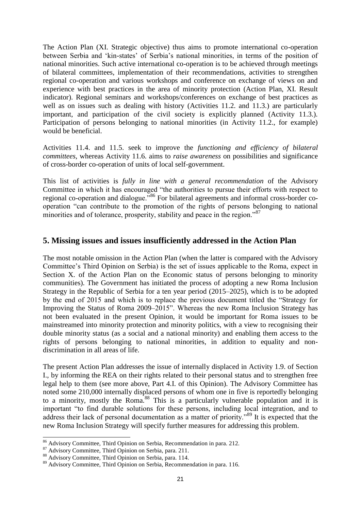The Action Plan (XI. Strategic objective) thus aims to promote international co-operation between Serbia and 'kin-states' of Serbia's national minorities, in terms of the position of national minorities. Such active international co-operation is to be achieved through meetings of bilateral committees, implementation of their recommendations, activities to strengthen regional co-operation and various workshops and conference on exchange of views on and experience with best practices in the area of minority protection (Action Plan, XI. Result indicator). Regional seminars and workshops/conferences on exchange of best practices as well as on issues such as dealing with history (Activities 11.2. and 11.3.) are particularly important, and participation of the civil society is explicitly planned (Activity 11.3.). Participation of persons belonging to national minorities (in Activity 11.2., for example) would be beneficial.

Activities 11.4. and 11.5. seek to improve the *functioning and efficiency of bilateral committees*, whereas Activity 11.6. aims to *raise awareness* on possibilities and significance of cross-border co-operation of units of local self-government.

This list of activities is *fully in line with a general recommendation* of the Advisory Committee in which it has encouraged "the authorities to pursue their efforts with respect to regional co-operation and dialogue."<sup>86</sup> For bilateral agreements and informal cross-border cooperation "can contribute to the promotion of the rights of persons belonging to national minorities and of tolerance, prosperity, stability and peace in the region."<sup>87</sup>

### **5. Missing issues and issues insufficiently addressed in the Action Plan**

The most notable omission in the Action Plan (when the latter is compared with the Advisory Committee's Third Opinion on Serbia) is the set of issues applicable to the Roma, expect in Section X. of the Action Plan on the Economic status of persons belonging to minority communities). The Government has initiated the process of adopting a new Roma Inclusion Strategy in the Republic of Serbia for a ten year period (2015–2025), which is to be adopted by the end of 2015 and which is to replace the previous document titled the "Strategy for Improving the Status of Roma 2009–2015". Whereas the new Roma Inclusion Strategy has not been evaluated in the present Opinion, it would be important for Roma issues to be mainstreamed into minority protection and minority politics, with a view to recognising their double minority status (as a social and a national minority) and enabling them access to the rights of persons belonging to national minorities, in addition to equality and nondiscrimination in all areas of life.

The present Action Plan addresses the issue of internally displaced in Activity 1.9. of Section I., by informing the REA on their rights related to their personal status and to strengthen free legal help to them (see more above, Part 4.I. of this Opinion). The Advisory Committee has noted some 210,000 internally displaced persons of whom one in five is reportedly belonging to a minority, mostly the Roma.<sup>88</sup> This is a particularly vulnerable population and it is important "to find durable solutions for these persons, including local integration, and to address their lack of personal documentation as a matter of priority."<sup>89</sup> It is expected that the new Roma Inclusion Strategy will specify further measures for addressing this problem.

<sup>&</sup>lt;sup>86</sup> Advisory Committee, Third Opinion on Serbia, Recommendation in para. 212.

<sup>87</sup> Advisory Committee, Third Opinion on Serbia, para. 211.

<sup>88</sup> Advisory Committee, Third Opinion on Serbia, para. 114.

<sup>89</sup> Advisory Committee, Third Opinion on Serbia, Recommendation in para. 116.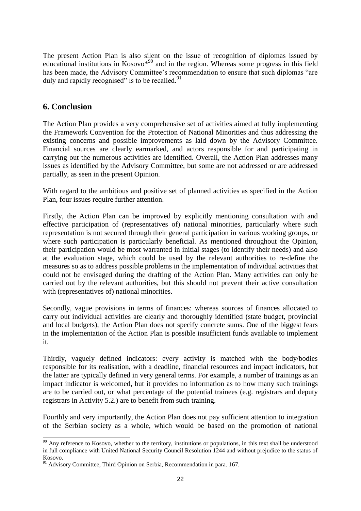The present Action Plan is also silent on the issue of recognition of diplomas issued by educational institutions in Kosovo $*^{90}$  and in the region. Whereas some progress in this field has been made, the Advisory Committee's recommendation to ensure that such diplomas "are duly and rapidly recognised" is to be recalled. $91$ 

## **6. Conclusion**

The Action Plan provides a very comprehensive set of activities aimed at fully implementing the Framework Convention for the Protection of National Minorities and thus addressing the existing concerns and possible improvements as laid down by the Advisory Committee. Financial sources are clearly earmarked, and actors responsible for and participating in carrying out the numerous activities are identified. Overall, the Action Plan addresses many issues as identified by the Advisory Committee, but some are not addressed or are addressed partially, as seen in the present Opinion.

With regard to the ambitious and positive set of planned activities as specified in the Action Plan, four issues require further attention.

Firstly, the Action Plan can be improved by explicitly mentioning consultation with and effective participation of (representatives of) national minorities, particularly where such representation is not secured through their general participation in various working groups, or where such participation is particularly beneficial. As mentioned throughout the Opinion, their participation would be most warranted in initial stages (to identify their needs) and also at the evaluation stage, which could be used by the relevant authorities to re-define the measures so as to address possible problems in the implementation of individual activities that could not be envisaged during the drafting of the Action Plan. Many activities can only be carried out by the relevant authorities, but this should not prevent their active consultation with (representatives of) national minorities.

Secondly, vague provisions in terms of finances: whereas sources of finances allocated to carry out individual activities are clearly and thoroughly identified (state budget, provincial and local budgets), the Action Plan does not specify concrete sums. One of the biggest fears in the implementation of the Action Plan is possible insufficient funds available to implement it.

Thirdly, vaguely defined indicators: every activity is matched with the body/bodies responsible for its realisation, with a deadline, financial resources and impact indicators, but the latter are typically defined in very general terms. For example, a number of trainings as an impact indicator is welcomed, but it provides no information as to how many such trainings are to be carried out, or what percentage of the potential trainees (e.g. registrars and deputy registrars in Activity 5.2.) are to benefit from such training.

Fourthly and very importantly, the Action Plan does not pay sufficient attention to integration of the Serbian society as a whole, which would be based on the promotion of national

<sup>1</sup>  $90$  Any reference to Kosovo, whether to the territory, institutions or populations, in this text shall be understood in full compliance with United National Security Council Resolution 1244 and without prejudice to the status of Kosovo.

 $91$  Advisory Committee, Third Opinion on Serbia, Recommendation in para. 167.